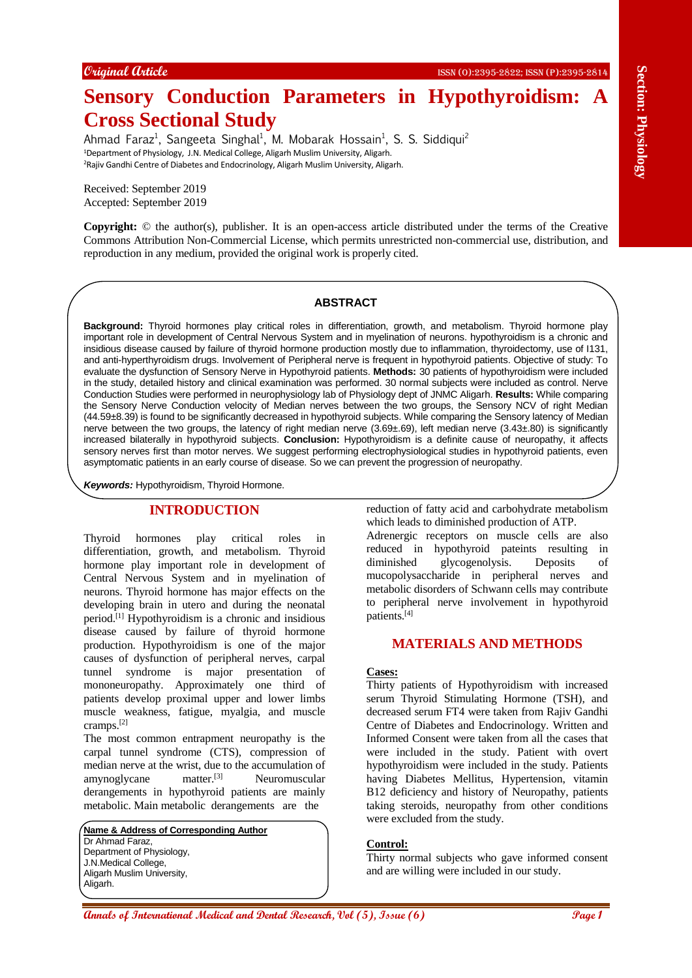**Original Article** ISSN (O):2395-2822; ISSN (P):2395-2814

# **Sensory Conduction Parameters in Hypothyroidism: A Cross Sectional Study**

Ahmad Faraz<sup>1</sup>, Sangeeta Singhal<sup>1</sup>, M. Mobarak Hossain<sup>1</sup>, S. S. Siddiqui<sup>2</sup> <sup>1</sup>Department of Physiology, J.N. Medical College, Aligarh Muslim University, Aligarh. <sup>2</sup>Rajiv Gandhi Centre of Diabetes and Endocrinology, Aligarh Muslim University, Aligarh.

Received: September 2019 Accepted: September 2019

**Copyright:** © the author(s), publisher. It is an open-access article distributed under the terms of the Creative Commons Attribution Non-Commercial License, which permits unrestricted non-commercial use, distribution, and reproduction in any medium, provided the original work is properly cited.

### **ABSTRACT**

**Annals of Conservational Medical Annals of Conservational Annal Conservation**<br> **Annal Conservation Conservation** Conservation Conservation Conservation Conservation Conservation Conservation Conservation Conservation Cons **Background:** Thyroid hormones play critical roles in differentiation, growth, and metabolism. Thyroid hormone play important role in development of Central Nervous System and in myelination of neurons. hypothyroidism is a chronic and insidious disease caused by failure of thyroid hormone production mostly due to inflammation, thyroidectomy, use of I131, and anti-hyperthyroidism drugs. Involvement of Peripheral nerve is frequent in hypothyroid patients. Objective of study: To evaluate the dysfunction of Sensory Nerve in Hypothyroid patients. **Methods:** 30 patients of hypothyroidism were included in the study, detailed history and clinical examination was performed. 30 normal subjects were included as control. Nerve Conduction Studies were performed in neurophysiology lab of Physiology dept of JNMC Aligarh. **Results:** While comparing the Sensory Nerve Conduction velocity of Median nerves between the two groups, the Sensory NCV of right Median (44.59±8.39) is found to be significantly decreased in hypothyroid subjects. While comparing the Sensory latency of Median nerve between the two groups, the latency of right median nerve (3.69±.69), left median nerve (3.43±.80) is significantly increased bilaterally in hypothyroid subjects. **Conclusion:** Hypothyroidism is a definite cause of neuropathy, it affects sensory nerves first than motor nerves. We suggest performing electrophysiological studies in hypothyroid patients, even asymptomatic patients in an early course of disease. So we can prevent the progression of neuropathy.

*Keywords:* Hypothyroidism, Thyroid Hormone.

# **INTRODUCTION**

Thyroid hormones play critical roles in differentiation, growth, and metabolism. Thyroid hormone play important role in development of Central Nervous System and in myelination of neurons. Thyroid hormone has major effects on the developing brain in utero and during the neonatal period.[1] Hypothyroidism is a chronic and insidious disease caused by failure of thyroid hormone production. Hypothyroidism is one of the major causes of dysfunction of peripheral nerves, carpal tunnel syndrome is major presentation of mononeuropathy. Approximately one third of patients develop proximal upper and lower limbs muscle weakness, fatigue, myalgia, and muscle cramps.[2]

The most common entrapment neuropathy is the carpal tunnel syndrome (CTS), compression of median nerve at the wrist, due to the accumulation of amynoglycane matter.<sup>[3]</sup> Neuromuscular derangements in hypothyroid patients are mainly metabolic. Main metabolic derangements are the

**Name & Address of Corresponding Author** Dr Ahmad Faraz, Department of Physiology, J.N.Medical College, Aligarh Muslim University, Aligarh.

reduction of fatty acid and carbohydrate metabolism which leads to diminished production of ATP.

Adrenergic receptors on muscle cells are also reduced in hypothyroid pateints resulting in diminished glycogenolysis. Deposits of mucopolysaccharide in peripheral nerves and metabolic disorders of Schwann cells may contribute to peripheral nerve involvement in hypothyroid patients.[4]

# **MATERIALS AND METHODS**

#### **Cases:**

Thirty patients of Hypothyroidism with increased serum Thyroid Stimulating Hormone (TSH), and decreased serum FT4 were taken from Rajiv Gandhi Centre of Diabetes and Endocrinology. Written and Informed Consent were taken from all the cases that were included in the study. Patient with overt hypothyroidism were included in the study. Patients having Diabetes Mellitus, Hypertension, vitamin B12 deficiency and history of Neuropathy, patients taking steroids, neuropathy from other conditions were excluded from the study.

#### **Control:**

Thirty normal subjects who gave informed consent and are willing were included in our study.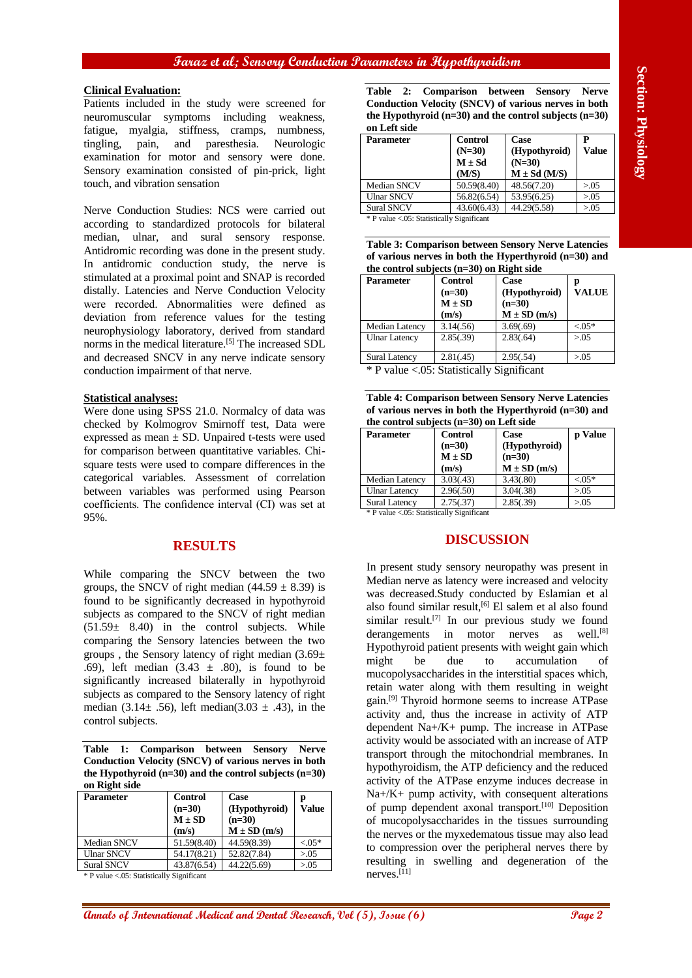## **Faraz et al; Sensory Conduction Parameters in Hypothyroidism**

#### **Clinical Evaluation:**

Patients included in the study were screened for neuromuscular symptoms including weakness, fatigue, myalgia, stiffness, cramps, numbness, tingling, pain, and paresthesia. Neurologic examination for motor and sensory were done. Sensory examination consisted of pin-prick, light touch, and vibration sensation

Nerve Conduction Studies: NCS were carried out according to standardized protocols for bilateral median, ulnar, and sural sensory response. Antidromic recording was done in the present study. In antidromic conduction study, the nerve is stimulated at a proximal point and SNAP is recorded distally. Latencies and Nerve Conduction Velocity were recorded. Abnormalities were defined as deviation from reference values for the testing neurophysiology laboratory, derived from standard norms in the medical literature.<sup>[5]</sup> The increased SDL and decreased SNCV in any nerve indicate sensory conduction impairment of that nerve.

#### **Statistical analyses:**

Were done using SPSS 21.0. Normalcy of data was checked by Kolmogrov Smirnoff test, Data were expressed as mean  $\pm$  SD. Unpaired t-tests were used for comparison between quantitative variables. Chisquare tests were used to compare differences in the categorical variables. Assessment of correlation between variables was performed using Pearson coefficients. The confidence interval (CI) was set at 95%.

## **RESULTS**

While comparing the SNCV between the two groups, the SNCV of right median  $(44.59 \pm 8.39)$  is found to be significantly decreased in hypothyroid subjects as compared to the SNCV of right median  $(51.59 \pm 8.40)$  in the control subjects. While comparing the Sensory latencies between the two groups, the Sensory latency of right median  $(3.69\pm$ .69), left median  $(3.43 \pm .80)$ , is found to be significantly increased bilaterally in hypothyroid subjects as compared to the Sensory latency of right median  $(3.14 \pm 0.56)$ , left median $(3.03 \pm 0.43)$ , in the control subjects.

**Table 1: Comparison between Sensory Nerve Conduction Velocity (SNCV) of various nerves in both the Hypothyroid (n=30) and the control subjects (n=30) on Right side**

| <b>Parameter</b>   | <b>Control</b> | Case            | р         |
|--------------------|----------------|-----------------|-----------|
|                    | $(n=30)$       | (Hypothyroid)   | Value     |
|                    | $M \pm SD$     | $(n=30)$        |           |
|                    | (m/s)          | $M \pm SD(m/s)$ |           |
| <b>Median SNCV</b> | 51.59(8.40)    | 44.59(8.39)     | $< 0.05*$ |
| <b>Ulnar SNCV</b>  | 54.17(8.21)    | 52.82(7.84)     | > 0.05    |
| <b>Sural SNCV</b>  | 43.87(6.54)    | 44.22(5.69)     | > 0.05    |

\* P value <.05: Statistically Significant

**Table 2: Comparison between Sensory Nerve Conduction Velocity (SNCV) of various nerves in both the Hypothyroid (n=30) and the control subjects (n=30) on Left side**

| Parameter         | <b>Control</b> | Case             |        |
|-------------------|----------------|------------------|--------|
|                   | $(N=30)$       | (Hypothyroid)    | Value  |
|                   | $M \pm Sd$     | $(N=30)$         |        |
|                   | (M/S)          | $M \pm Sd$ (M/S) |        |
| Median SNCV       | 50.59(8.40)    | 48.56(7.20)      | > 0.05 |
| <b>Ulnar SNCV</b> | 56.82(6.54)    | 53.95(6.25)      | > 0.05 |
| <b>Sural SNCV</b> | 43.60(6.43)    | 44.29(5.58)      | > 0.05 |

\* P value <.05: Statistically Significant

| <b>Table 3: Comparison between Sensory Nerve Latencies</b> |
|------------------------------------------------------------|
| of various nerves in both the Hyperthyroid $(n=30)$ and    |
| the control subjects $(n=30)$ on Right side                |

| <b>Parameter</b>                 | <b>Control</b><br>$(n=30)$<br>$M \pm SD$<br>(m/s) | Case<br>(Hypothyroid)<br>$(n=30)$<br>$M \pm SD(m/s)$ | р<br><b>VALUE</b> |
|----------------------------------|---------------------------------------------------|------------------------------------------------------|-------------------|
| <b>Median Latency</b>            | 3.14(.56)                                         | 3.69(.69)                                            | $< 0.05*$         |
| <b>Ulnar Latency</b>             | 2.85(.39)                                         | 2.83(.64)                                            | > 0.05            |
| <b>Sural Latency</b>             | 2.81(.45)                                         | 2.95(.54)                                            | > 0.05            |
| $\mathbf{a}$<br>$\sim$<br>$\sim$ |                                                   |                                                      |                   |

\* P value <.05: Statistically Significant

| <b>Table 4: Comparison between Sensory Nerve Latencies</b> |
|------------------------------------------------------------|
| of various nerves in both the Hyperthyroid $(n=30)$ and    |
| the control subjects $(n=30)$ on Left side                 |

| Parameter                                                | <b>Control</b><br>$(n=30)$<br>$M \pm SD$<br>(m/s) | Case<br>(Hypothyroid)<br>$(n=30)$<br>$M \pm SD(m/s)$ | p Value   |
|----------------------------------------------------------|---------------------------------------------------|------------------------------------------------------|-----------|
| Median Latency                                           | 3.03(.43)                                         | 3.43(.80)                                            | $< 0.05*$ |
| <b>Ulnar Latency</b>                                     | 2.96(.50)                                         | 3.04(.38)                                            | > 0.05    |
| <b>Sural Latency</b>                                     | 2.75(.37)                                         | 2.85(.39)                                            | > 0.05    |
| $\&$ D value $\geq$ 05 $\cdot$ Ctatictically Cianificant |                                                   |                                                      |           |

P value <.05: Statistically Significant

# **DISCUSSION**

**Chinal Example, Continent and the control of the International Medical Annals of International China Research, Control of Page 22 <b>Control of Control of Control of Control of Page 2 Control of Control of Control of Pag** In present study sensory neuropathy was present in Median nerve as latency were increased and velocity was decreased.Study conducted by Eslamian et al also found similar result, [6] El salem et al also found similar result.<sup>[7]</sup> In our previous study we found derangements in motor nerves as well.<sup>[8]</sup> Hypothyroid patient presents with weight gain which might be due to accumulation of mucopolysaccharides in the interstitial spaces which, retain water along with them resulting in weight gain.<sup>[9]</sup> Thyroid hormone seems to increase ATPase activity and, thus the increase in activity of ATP dependent Na+/K+ pump. The increase in ATPase activity would be associated with an increase of ATP transport through the mitochondrial membranes. In hypothyroidism, the ATP deficiency and the reduced activity of the ATPase enzyme induces decrease in  $Na + / K +$  pump activity, with consequent alterations of pump dependent axonal transport.<sup>[10]</sup> Deposition of mucopolysaccharides in the tissues surrounding the nerves or the myxedematous tissue may also lead to compression over the peripheral nerves there by resulting in swelling and degeneration of the nerves.[11]